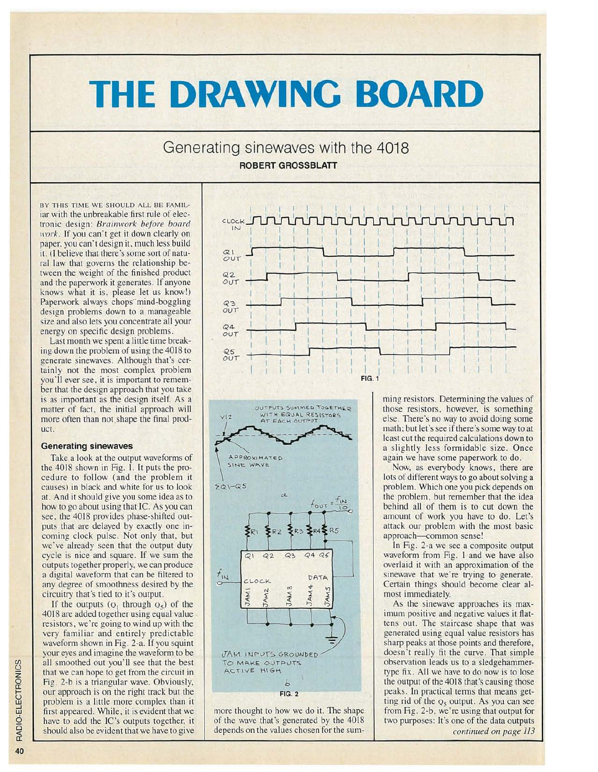# **THE DRAWING BOARD**

## Generating sinewaves with the 4018 ROBERT GROSSBLATT

BY THIS TIME WE SHOULD ALL BE FAMILiar with the unbreak able first rule of electronic design: *Brainwork before board work*. If you can't get it down clearly on paper. you can't design it, much less build it. (I believe that there's some sort of natural law that governs the relationship between the weight of the finished product and the paperwork it generates. If anyone knows what it is, please let us know!) Paperwork always chops mind-boggling design problems down to a manageable size and also lets you concentrate all your energy on specific design problems.

Last month we spent a little time breaking down the problem of using the 4018 to generate sinewaves. Although that's certainly not the most complex problem you'll ever see, it is important to remember that the design approach that you take is as important as the design itself. As a matter of fact, the initial approach will more often than not shape the final product.

#### Generating sinewaves

Take a look at the output waveforms of the 4018 shown in Fig. I. It puts the procedure to follow (and the problem it causes) in black and white for us to look at. And it should give you some idea as to how to go about using that IC. As you can see. the 4018 provides phase-shifted outputs that are delayed by exactly one incoming clock pulse. Not only that, but we've already seen that the output duty cycle is nice and square. If we sum the outputs together properly, we can produce a digital waveform that can be filtered to any degree of smoothness desired by the circuitry that's tied to it's output.

If the outputs  $(Q_1)$  through  $Q_5$ ) of the 4018 are added together using equal value resistors, we're going to wind up with the very familiar and entirely predictable waveform shown in Fig. 2-a. If you squint your eyes and imagine the waveform to be all smoothed out you'll see that the best that we can hope to get from the circuit in Fig. 2-b is a triangular wave. Obviously, our approach is on the right track but the problem is a little more complex than it first appeared. While, it is evident that we have to add the IC's outputs together, it should also be evident that we have to give





more thought to how we do it. The shape of the wave that's generated by the 4018 depends on the values chosen for the summing resistors. Determining the values of those resistors, however, is something else. There's no way to avoid doing some math: but let's see if there 's some way to at least cut the required calculations down to a slightly less formidable size. Once again we have some paperwork to do.

Now, as everybody knows, there are lots of different ways to go about solving a problem. Which one you pick depends on the problem, but remember that the idea behind all of them is to cut down the amount of work you have to do. Let's attack our problem with the most basic approach-common sense!

In Fig. 2-a we see a composite output waveform from Fig. I and we have also overlaid it with an approximation of the sinewave that we're trying to generate. Certain things should become clear almost immediately.

As the sinewave approaches its maximum positive and negative values it flattens out. The staircase shape that was generated using equal value resistors has sharp peaks at those points and therefore , doesn't really fit the curve. That simple observation leads us to a sledgehammertype fix. All we have to do now is to lose the output of the 4018 that's causing those peaks. In practical terms that means getting rid of the  $Q_5$  output. As you can see from Fig. 2-b , we' re using that output for two purposes: It's one of the data outputs *continued on page 113*